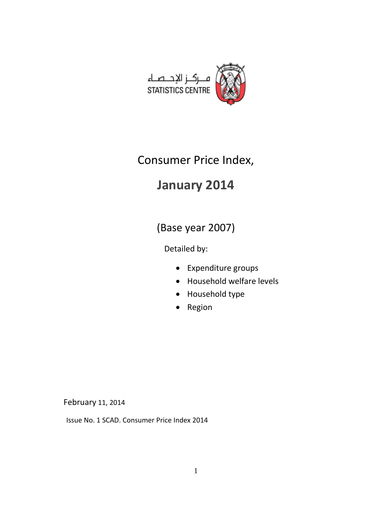

## Consumer Price Index,

# **January 2014**

(Base year 2007)

Detailed by:

- Expenditure groups
- Household welfare levels
- Household type
- Region

February 11, 2014

Issue No. 1 SCAD. Consumer Price Index 2014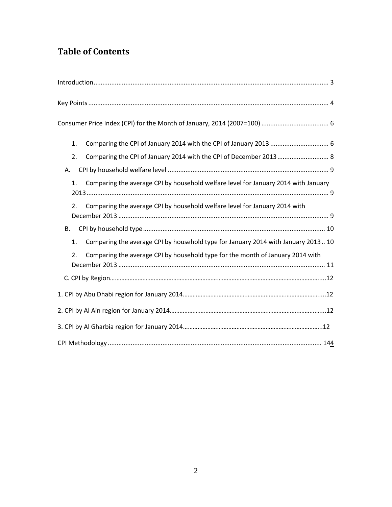## **Table of Contents**

| 1. |                                                                                    |
|----|------------------------------------------------------------------------------------|
| 2. | Comparing the CPI of January 2014 with the CPI of December 2013 8                  |
| Α. |                                                                                    |
| 1. | Comparing the average CPI by household welfare level for January 2014 with January |
| 2. | Comparing the average CPI by household welfare level for January 2014 with         |
| В. |                                                                                    |
| 1. | Comparing the average CPI by household type for January 2014 with January 2013 10  |
| 2. | Comparing the average CPI by household type for the month of January 2014 with     |
|    |                                                                                    |
|    |                                                                                    |
|    |                                                                                    |
|    |                                                                                    |
|    |                                                                                    |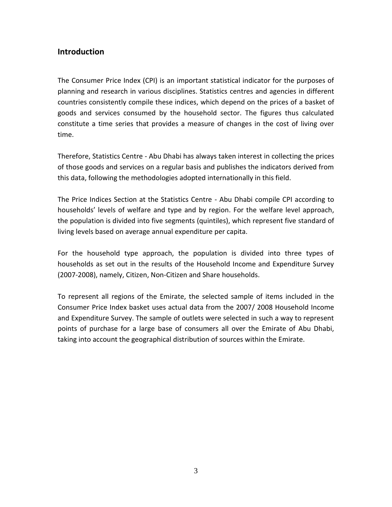#### <span id="page-2-0"></span>**Introduction**

The Consumer Price Index (CPI) is an important statistical indicator for the purposes of planning and research in various disciplines. Statistics centres and agencies in different countries consistently compile these indices, which depend on the prices of a basket of goods and services consumed by the household sector. The figures thus calculated constitute a time series that provides a measure of changes in the cost of living over time.

Therefore, Statistics Centre - Abu Dhabi has always taken interest in collecting the prices of those goods and services on a regular basis and publishes the indicators derived from this data, following the methodologies adopted internationally in this field.

The Price Indices Section at the Statistics Centre - Abu Dhabi compile CPI according to households' levels of welfare and type and by region. For the welfare level approach, the population is divided into five segments (quintiles), which represent five standard of living levels based on average annual expenditure per capita.

For the household type approach, the population is divided into three types of households as set out in the results of the Household Income and Expenditure Survey (2007-2008), namely, Citizen, Non-Citizen and Share households.

To represent all regions of the Emirate, the selected sample of items included in the Consumer Price Index basket uses actual data from the 2007/ 2008 Household Income and Expenditure Survey. The sample of outlets were selected in such a way to represent points of purchase for a large base of consumers all over the Emirate of Abu Dhabi, taking into account the geographical distribution of sources within the Emirate.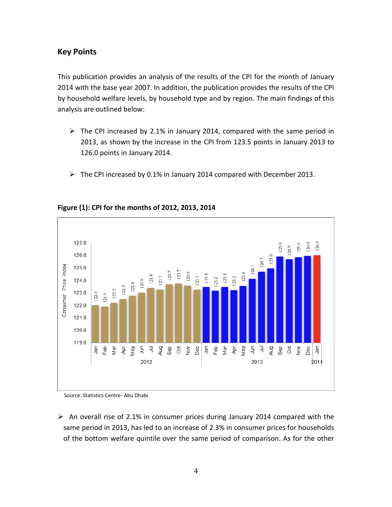#### <span id="page-3-0"></span>**Key Points**

This publication provides an analysis of the results of the CPI for the month of January 2014 with the base year 2007. In addition, the publication provides the results of the CPI by household welfare levels, by household type and by region. The main findings of this analysis are outlined below:

- $\triangleright$  The CPI increased by 2.1% in January 2014, compared with the same period in 2013, as shown by the increase in the CPI from 123.5 points in January 2013 to 126.0 points in January 2014.
- $\triangleright$  The CPI increased by 0.1% in January 2014 compared with December 2013.



#### **Figure (1): CPI for the months of 2012, 2013, 2014**

Source: Statistics Centre- Abu Dhabi

 $\triangleright$  An overall rise of 2.1% in consumer prices during January 2014 compared with the same period in 2013, has led to an increase of 2.3% in consumer prices for households of the bottom welfare quintile over the same period of comparison. As for the other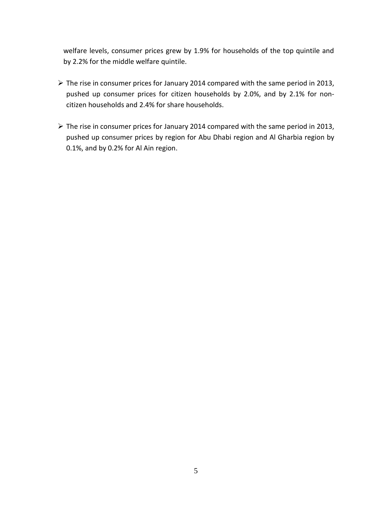welfare levels, consumer prices grew by 1.9% for households of the top quintile and by 2.2% for the middle welfare quintile.

- $\triangleright$  The rise in consumer prices for January 2014 compared with the same period in 2013, pushed up consumer prices for citizen households by 2.0%, and by 2.1% for noncitizen households and 2.4% for share households.
- The rise in consumer prices for January 2014 compared with the same period in 2013, pushed up consumer prices by region for Abu Dhabi region and Al Gharbia region by 0.1%, and by 0.2% for Al Ain region.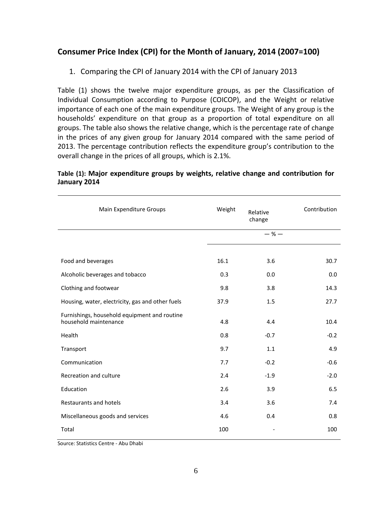### <span id="page-5-1"></span><span id="page-5-0"></span>**Consumer Price Index (CPI) for the Month of January, 2014 (2007=100)**

1. Comparing the CPI of January 2014 with the CPI of January 2013

Table (1) shows the twelve major expenditure groups, as per the Classification of Individual Consumption according to Purpose (COICOP), and the Weight or relative importance of each one of the main expenditure groups. The Weight of any group is the households' expenditure on that group as a proportion of total expenditure on all groups. The table also shows the relative change, which is the percentage rate of change in the prices of any given group for January 2014 compared with the same period of 2013. The percentage contribution reflects the expenditure group's contribution to the overall change in the prices of all groups, which is 2.1%.

#### **Table (1): Major expenditure groups by weights, relative change and contribution for January 2014**

| Main Expenditure Groups                                               | Weight | Relative<br>change           | Contribution |
|-----------------------------------------------------------------------|--------|------------------------------|--------------|
|                                                                       |        | $-$ % $-$                    |              |
|                                                                       |        |                              |              |
| Food and beverages                                                    | 16.1   | 3.6                          | 30.7         |
| Alcoholic beverages and tobacco                                       | 0.3    | 0.0                          | 0.0          |
| Clothing and footwear                                                 | 9.8    | 3.8                          | 14.3         |
| Housing, water, electricity, gas and other fuels                      | 37.9   | 1.5                          | 27.7         |
| Furnishings, household equipment and routine<br>household maintenance | 4.8    | 4.4                          | 10.4         |
| Health                                                                | 0.8    | $-0.7$                       | $-0.2$       |
| Transport                                                             | 9.7    | 1.1                          | 4.9          |
| Communication                                                         | 7.7    | $-0.2$                       | $-0.6$       |
| Recreation and culture                                                | 2.4    | $-1.9$                       | $-2.0$       |
| Education                                                             | 2.6    | 3.9                          | 6.5          |
| Restaurants and hotels                                                | 3.4    | 3.6                          | 7.4          |
| Miscellaneous goods and services                                      | 4.6    | 0.4                          | 0.8          |
| Total                                                                 | 100    | $\qquad \qquad \blacksquare$ | 100          |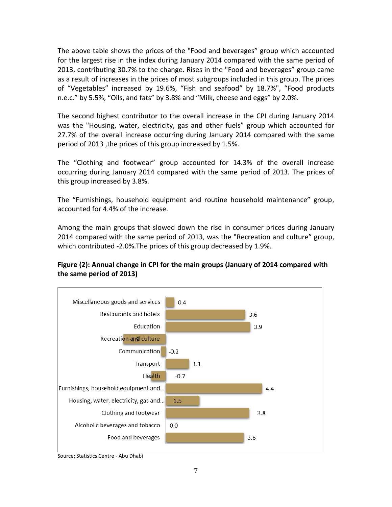The above table shows the prices of the "Food and beverages" group which accounted for the largest rise in the index during January 2014 compared with the same period of 2013, contributing 30.7% to the change. Rises in the "Food and beverages" group came as a result of increases in the prices of most subgroups included in this group. The prices of "Vegetables" increased by 19.6%, "Fish and seafood" by 18.7%", "Food products n.e.c." by 5.5%, "Oils, and fats" by 3.8% and "Milk, cheese and eggs" by 2.0%.

The second highest contributor to the overall increase in the CPI during January 2014 was the "Housing, water, electricity, gas and other fuels" group which accounted for 27.7% of the overall increase occurring during January 2014 compared with the same period of 2013 ,the prices of this group increased by 1.5%.

The "Clothing and footwear" group accounted for 14.3% of the overall increase occurring during January 2014 compared with the same period of 2013. The prices of this group increased by 3.8%.

The "Furnishings, household equipment and routine household maintenance" group, accounted for 4.4% of the increase.

Among the main groups that slowed down the rise in consumer prices during January 2014 compared with the same period of 2013, was the "Recreation and culture" group, which contributed -2.0%.The prices of this group decreased by 1.9%.



#### **Figure (2): Annual change in CPI for the main groups (January of 2014 compared with the same period of 2013)**

Source: Statistics Centre - Abu Dhabi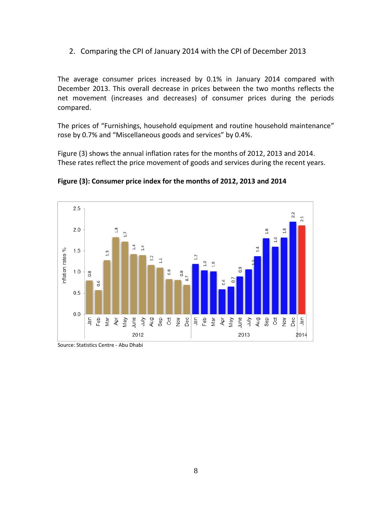<span id="page-7-0"></span>2. Comparing the CPI of January 2014 with the CPI of December 2013

The average consumer prices increased by 0.1% in January 2014 compared with December 2013. This overall decrease in prices between the two months reflects the net movement (increases and decreases) of consumer prices during the periods compared.

The prices of "Furnishings, household equipment and routine household maintenance" rose by 0.7% and "Miscellaneous goods and services" by 0.4%.

Figure (3) shows the annual inflation rates for the months of 2012, 2013 and 2014. These rates reflect the price movement of goods and services during the recent years.



**Figure (3): Consumer price index for the months of 2012, 2013 and 2014**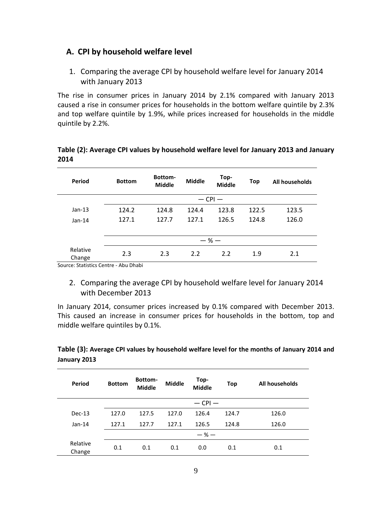#### <span id="page-8-1"></span><span id="page-8-0"></span>**A. CPI by household welfare level**

1. Comparing the average CPI by household welfare level for January 2014 with January 2013

The rise in consumer prices in January 2014 by 2.1% compared with January 2013 caused a rise in consumer prices for households in the bottom welfare quintile by 2.3% and top welfare quintile by 1.9%, while prices increased for households in the middle quintile by 2.2%.

| Period             | <b>Bottom</b> | <b>Bottom-</b><br><b>Middle</b> | <b>Middle</b> | Top-<br><b>Middle</b> | Top   | All households |
|--------------------|---------------|---------------------------------|---------------|-----------------------|-------|----------------|
|                    |               |                                 | $-$ CPI $-$   |                       |       |                |
| $Jan-13$           | 124.2         | 124.8                           | 124.4         | 123.8                 | 122.5 | 123.5          |
| $Jan-14$           | 127.1         | 127.7                           | 127.1         | 126.5                 | 124.8 | 126.0          |
|                    |               |                                 |               |                       |       |                |
|                    |               |                                 | $-$ % $-$     |                       |       |                |
| Relative<br>Change | 2.3           | 2.3                             | 2.2           | 2.2                   | 1.9   | 2.1            |

#### **Table (2): Average CPI values by household welfare level for January 2013 and January 2014**

Source: Statistics Centre - Abu Dhabi

<span id="page-8-2"></span>2. Comparing the average CPI by household welfare level for January 2014 with December 2013

In January 2014, consumer prices increased by 0.1% compared with December 2013. This caused an increase in consumer prices for households in the bottom, top and middle welfare quintiles by 0.1%.

**Table (3): Average CPI values by household welfare level for the months of January 2014 and January 2013**

| Period             | <b>Bottom</b> | <b>Bottom-</b><br>Middle | <b>Middle</b> | Top-<br><b>Middle</b> | Top   | All households |
|--------------------|---------------|--------------------------|---------------|-----------------------|-------|----------------|
|                    |               |                          |               | $-$ CPI $-$           |       |                |
| $Dec-13$           | 127.0         | 127.5                    | 127.0         | 126.4                 | 124.7 | 126.0          |
| $Jan-14$           | 127.1         | 127.7                    | 127.1         | 126.5                 | 124.8 | 126.0          |
|                    |               |                          |               | $-$ % $-$             |       |                |
| Relative<br>Change | 0.1           | 0.1                      | 0.1           | 0.0                   | 0.1   | 0.1            |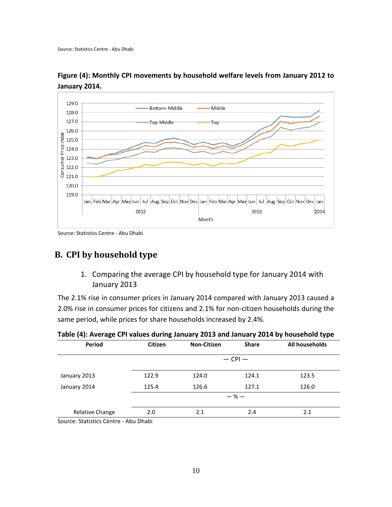

**Figure (4): Monthly CPI movements by household welfare levels from January 2012 to January 2014.**

Source: Statistics Centre - Abu Dhabi

## <span id="page-9-1"></span><span id="page-9-0"></span>**B. CPI by household type**

1. Comparing the average CPI by household type for January 2014 with January 2013

The 2.1% rise in consumer prices in January 2014 compared with January 2013 caused a 2.0% rise in consumer prices for citizens and 2.1% for non-citizen households during the same period, while prices for share households increased by 2.4%.

| <b>Citizen</b> | <b>Non-Citizen</b> | <b>Share</b> | All households |  |
|----------------|--------------------|--------------|----------------|--|
| $-$ CPI $-$    |                    |              |                |  |
| 122.9          | 124.0              | 124.1        | 123.5          |  |
| 125.4          | 126.6              | 127.1        | 126.0          |  |
|                |                    |              |                |  |
| 2.0            | 2.1                | 2.4          | 2.1            |  |
|                |                    |              | $-$ % $-$      |  |

**Table (4): Average CPI values during January 2013 and January 2014 by household type**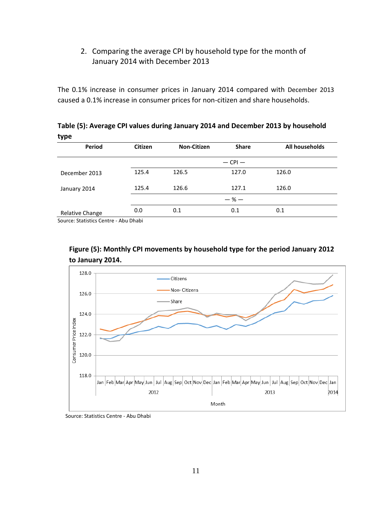#### <span id="page-10-0"></span>2. Comparing the average CPI by household type for the month of January 2014 with December 2013

The 0.1% increase in consumer prices in January 2014 compared with December 2013 caused a 0.1% increase in consumer prices for non-citizen and share households.

| ,,,,            |                |                    |              |                |
|-----------------|----------------|--------------------|--------------|----------------|
| <b>Period</b>   | <b>Citizen</b> | <b>Non-Citizen</b> | <b>Share</b> | All households |
|                 |                |                    | $-$ CPI $-$  |                |
| December 2013   | 125.4          | 126.5              | 127.0        | 126.0          |
| January 2014    | 125.4          | 126.6              | 127.1        | 126.0          |
|                 |                |                    | $-$ % $-$    |                |
| Relative Change | 0.0            | 0.1                | 0.1          | 0.1            |

**Table (5): Average CPI values during January 2014 and December 2013 by household type**

Source: Statistics Centre - Abu Dhabi



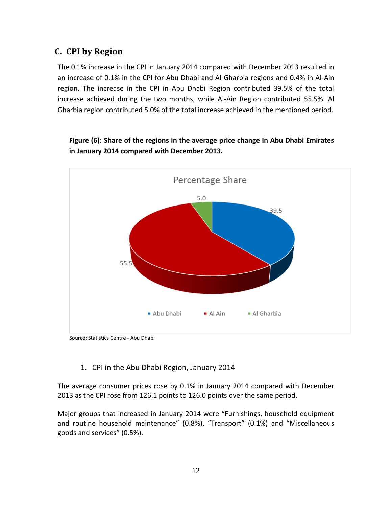## **C. CPI by Region**

The 0.1% increase in the CPI in January 2014 compared with December 2013 resulted in an increase of 0.1% in the CPI for Abu Dhabi and Al Gharbia regions and 0.4% in Al-Ain region. The increase in the CPI in Abu Dhabi Region contributed 39.5% of the total increase achieved during the two months, while Al-Ain Region contributed 55.5%. Al Gharbia region contributed 5.0% of the total increase achieved in the mentioned period.



**Figure (6): Share of the regions in the average price change In Abu Dhabi Emirates in January 2014 compared with December 2013.**

Source: Statistics Centre - Abu Dhabi

#### 1. CPI in the Abu Dhabi Region, January 2014

The average consumer prices rose by 0.1% in January 2014 compared with December 2013 as the CPI rose from 126.1 points to 126.0 points over the same period.

Major groups that increased in January 2014 were "Furnishings, household equipment and routine household maintenance" (0.8%), "Transport" (0.1%) and "Miscellaneous goods and services" (0.5%).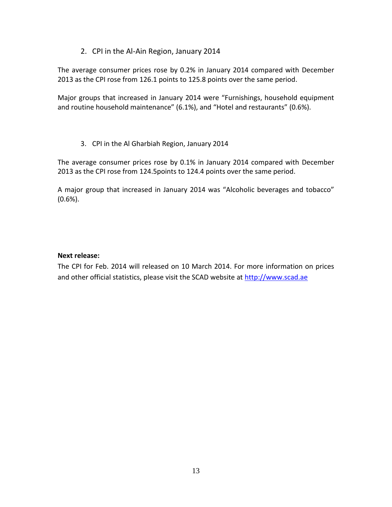#### 2. CPI in the Al-Ain Region, January 2014

The average consumer prices rose by 0.2% in January 2014 compared with December 2013 as the CPI rose from 126.1 points to 125.8 points over the same period.

Major groups that increased in January 2014 were "Furnishings, household equipment and routine household maintenance" (6.1%), and "Hotel and restaurants" (0.6%).

#### 3. CPI in the Al Gharbiah Region, January 2014

The average consumer prices rose by 0.1% in January 2014 compared with December 2013 as the CPI rose from 124.5points to 124.4 points over the same period.

A major group that increased in January 2014 was "Alcoholic beverages and tobacco" (0.6%).

#### **Next release:**

The CPI for Feb. 2014 will released on 10 March 2014. For more information on prices and other official statistics, please visit the SCAD website at [http://www.scad.ae](http://www.scad.ae/)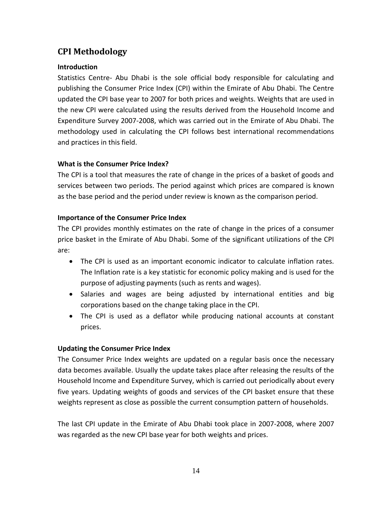### <span id="page-13-0"></span>**CPI Methodology**

#### **Introduction**

Statistics Centre- Abu Dhabi is the sole official body responsible for calculating and publishing the Consumer Price Index (CPI) within the Emirate of Abu Dhabi. The Centre updated the CPI base year to 2007 for both prices and weights. Weights that are used in the new CPI were calculated using the results derived from the Household Income and Expenditure Survey 2007-2008, which was carried out in the Emirate of Abu Dhabi. The methodology used in calculating the CPI follows best international recommendations and practices in this field.

#### **What is the Consumer Price Index?**

The CPI is a tool that measures the rate of change in the prices of a basket of goods and services between two periods. The period against which prices are compared is known as the base period and the period under review is known as the comparison period.

#### **Importance of the Consumer Price Index**

The CPI provides monthly estimates on the rate of change in the prices of a consumer price basket in the Emirate of Abu Dhabi. Some of the significant utilizations of the CPI are:

- The CPI is used as an important economic indicator to calculate inflation rates. The Inflation rate is a key statistic for economic policy making and is used for the purpose of adjusting payments (such as rents and wages).
- Salaries and wages are being adjusted by international entities and big corporations based on the change taking place in the CPI.
- The CPI is used as a deflator while producing national accounts at constant prices.

#### **Updating the Consumer Price Index**

The Consumer Price Index weights are updated on a regular basis once the necessary data becomes available. Usually the update takes place after releasing the results of the Household Income and Expenditure Survey, which is carried out periodically about every five years. Updating weights of goods and services of the CPI basket ensure that these weights represent as close as possible the current consumption pattern of households.

The last CPI update in the Emirate of Abu Dhabi took place in 2007-2008, where 2007 was regarded as the new CPI base year for both weights and prices.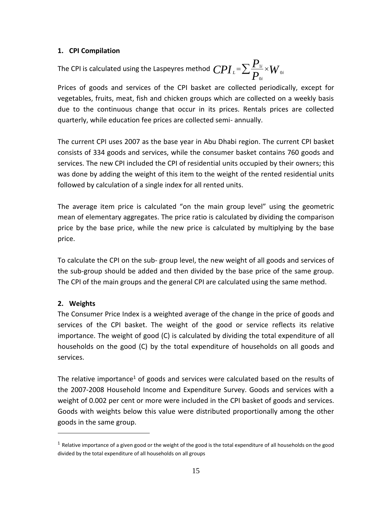#### **1. CPI Compilation**

The CPI is calculated using the Laspeyres method  $\mathit{CPI}_{\scriptscriptstyle{L}}$  =  $\sum$   $\frac{I_{\scriptscriptstyle{1}}}{P_{\scriptscriptstyle{0i}}}\times W$ *P*  $CPI_{\iota} = \sum_{\mathbf{D}} \frac{\mathbf{I}_{\iota}}{\mathbf{D}} \times W_{\iota}$ *i L* ∠ <sub>D</sub>  $\cdot$  VV 0 0  $=\sum \frac{\boldsymbol{F}_{1i}}{\mathbf{D}}\times$ 

Prices of goods and services of the CPI basket are collected periodically, except for vegetables, fruits, meat, fish and chicken groups which are collected on a weekly basis due to the continuous change that occur in its prices. Rentals prices are collected quarterly, while education fee prices are collected semi- annually.

The current CPI uses 2007 as the base year in Abu Dhabi region. The current CPI basket consists of 334 goods and services, while the consumer basket contains 760 goods and services. The new CPI included the CPI of residential units occupied by their owners; this was done by adding the weight of this item to the weight of the rented residential units followed by calculation of a single index for all rented units.

The average item price is calculated "on the main group level" using the geometric mean of elementary aggregates. The price ratio is calculated by dividing the comparison price by the base price, while the new price is calculated by multiplying by the base price.

To calculate the CPI on the sub- group level, the new weight of all goods and services of the sub-group should be added and then divided by the base price of the same group. The CPI of the main groups and the general CPI are calculated using the same method.

#### **2. Weights**

 $\overline{a}$ 

The Consumer Price Index is a weighted average of the change in the price of goods and services of the CPI basket. The weight of the good or service reflects its relative importance. The weight of good (C) is calculated by dividing the total expenditure of all households on the good (C) by the total expenditure of households on all goods and services.

The relative importance<sup>1</sup> of goods and services were calculated based on the results of the 2007-2008 Household Income and Expenditure Survey. Goods and services with a weight of 0.002 per cent or more were included in the CPI basket of goods and services. Goods with weights below this value were distributed proportionally among the other goods in the same group.

 $^1$  Relative importance of a given good or the weight of the good is the total expenditure of all households on the good divided by the total expenditure of all households on all groups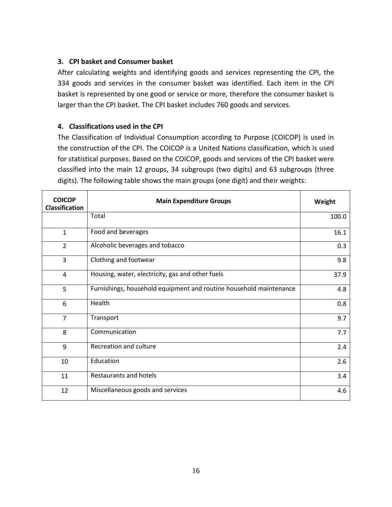#### **3. CPI basket and Consumer basket**

After calculating weights and identifying goods and services representing the CPI, the 334 goods and services in the consumer basket was identified. Each item in the CPI basket is represented by one good or service or more, therefore the consumer basket is larger than the CPI basket. The CPI basket includes 760 goods and services.

#### **4. Classifications used in the CPI**

The Classification of Individual Consumption according to Purpose (COICOP) is used in the construction of the CPI. The COICOP is a United Nations classification, which is used for statistical purposes. Based on the COICOP, goods and services of the CPI basket were classified into the main 12 groups, 34 subgroups (two digits) and 63 subgroups (three digits). The following table shows the main groups (one digit) and their weights:

| <b>COICOP</b><br><b>Classification</b> | <b>Main Expenditure Groups</b>                                     | Weight |
|----------------------------------------|--------------------------------------------------------------------|--------|
|                                        | Total                                                              | 100.0  |
| $\mathbf{1}$                           | Food and beverages                                                 | 16.1   |
| $\overline{2}$                         | Alcoholic beverages and tobacco                                    | 0.3    |
| 3                                      | Clothing and footwear                                              | 9.8    |
| $\overline{4}$                         | Housing, water, electricity, gas and other fuels                   | 37.9   |
| 5                                      | Furnishings, household equipment and routine household maintenance | 4.8    |
| 6                                      | Health                                                             | 0.8    |
| $\overline{7}$                         | Transport                                                          | 9.7    |
| 8                                      | Communication                                                      | 7.7    |
| 9                                      | Recreation and culture                                             | 2.4    |
| 10                                     | Education                                                          | 2.6    |
| 11                                     | Restaurants and hotels                                             | 3.4    |
| 12                                     | Miscellaneous goods and services                                   | 4.6    |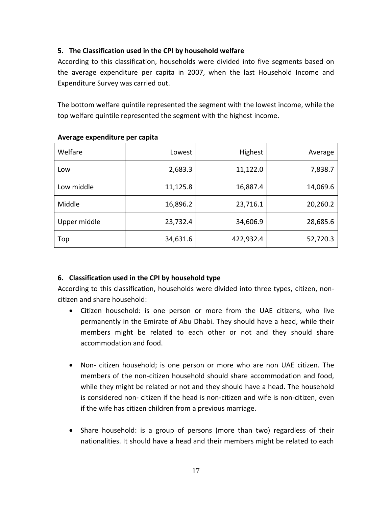#### **5. The Classification used in the CPI by household welfare**

According to this classification, households were divided into five segments based on the average expenditure per capita in 2007, when the last Household Income and Expenditure Survey was carried out.

The bottom welfare quintile represented the segment with the lowest income, while the top welfare quintile represented the segment with the highest income.

| Welfare      | Lowest   | <b>Highest</b> | Average  |
|--------------|----------|----------------|----------|
| Low          | 2,683.3  | 11,122.0       | 7,838.7  |
| Low middle   | 11,125.8 | 16,887.4       | 14,069.6 |
| Middle       | 16,896.2 | 23,716.1       | 20,260.2 |
| Upper middle | 23,732.4 | 34,606.9       | 28,685.6 |
| Top          | 34,631.6 | 422,932.4      | 52,720.3 |

#### **Average expenditure per capita**

#### **6. Classification used in the CPI by household type**

According to this classification, households were divided into three types, citizen, noncitizen and share household:

- Citizen household: is one person or more from the UAE citizens, who live permanently in the Emirate of Abu Dhabi. They should have a head, while their members might be related to each other or not and they should share accommodation and food.
- Non- citizen household; is one person or more who are non UAE citizen. The members of the non-citizen household should share accommodation and food, while they might be related or not and they should have a head. The household is considered non- citizen if the head is non-citizen and wife is non-citizen, even if the wife has citizen children from a previous marriage.
- Share household: is a group of persons (more than two) regardless of their nationalities. It should have a head and their members might be related to each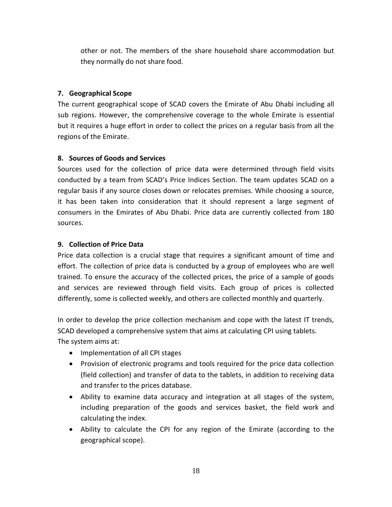other or not. The members of the share household share accommodation but they normally do not share food.

#### **7. Geographical Scope**

The current geographical scope of SCAD covers the Emirate of Abu Dhabi including all sub regions. However, the comprehensive coverage to the whole Emirate is essential but it requires a huge effort in order to collect the prices on a regular basis from all the regions of the Emirate.

#### **8. Sources of Goods and Services**

Sources used for the collection of price data were determined through field visits conducted by a team from SCAD's Price Indices Section. The team updates SCAD on a regular basis if any source closes down or relocates premises. While choosing a source, it has been taken into consideration that it should represent a large segment of consumers in the Emirates of Abu Dhabi. Price data are currently collected from 180 sources.

#### **9. Collection of Price Data**

Price data collection is a crucial stage that requires a significant amount of time and effort. The collection of price data is conducted by a group of employees who are well trained. To ensure the accuracy of the collected prices, the price of a sample of goods and services are reviewed through field visits. Each group of prices is collected differently, some is collected weekly, and others are collected monthly and quarterly.

In order to develop the price collection mechanism and cope with the latest IT trends, SCAD developed a comprehensive system that aims at calculating CPI using tablets. The system aims at:

- Implementation of all CPI stages
- Provision of electronic programs and tools required for the price data collection (field collection) and transfer of data to the tablets, in addition to receiving data and transfer to the prices database.
- Ability to examine data accuracy and integration at all stages of the system, including preparation of the goods and services basket, the field work and calculating the index.
- Ability to calculate the CPI for any region of the Emirate (according to the geographical scope).